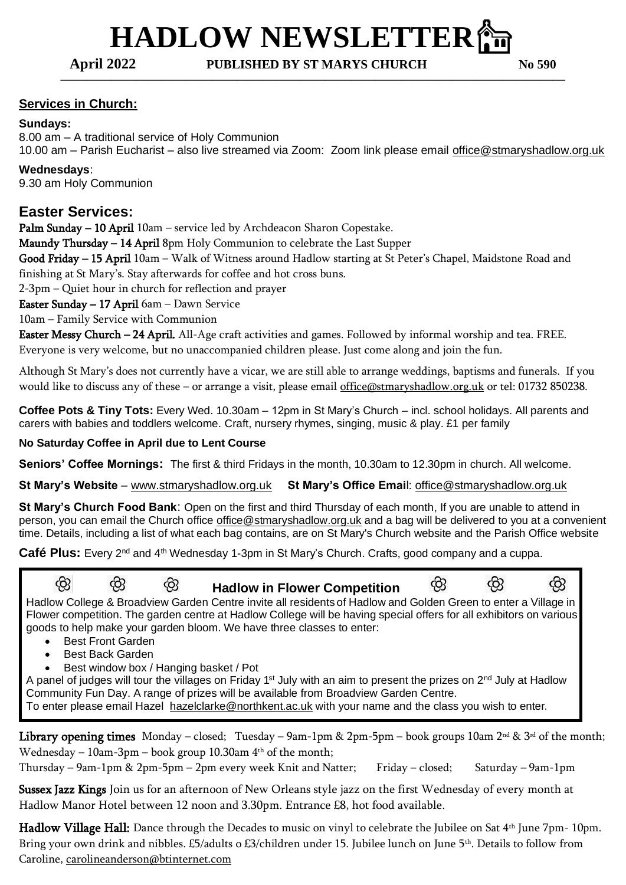# **HADLOW NEWSLETTER偷**

**April 2022 PUBLISHED BY ST MARYS CHURCH No 590**

**————————————————————————————————————————**

### **Services in Church:**

#### **Sundays:**

8.00 am – A traditional service of Holy Communion 10.00 am – Parish Eucharist – also live streamed via Zoom: Zoom link please email [office@stmaryshadlow.org.uk](mailto:office@stmaryshadlow.org.uk)

# **Wednesdays**:

9.30 am Holy Communion

## **Easter Services:**

Palm Sunday - 10 April 10am - service led by Archdeacon Sharon Copestake.

Maundy Thursday - 14 April 8pm Holy Communion to celebrate the Last Supper

Good Friday – 15 April 10am – Walk of Witness around Hadlow starting at St Peter's Chapel, Maidstone Road and finishing at St Mary's. Stay afterwards for coffee and hot cross buns.

2-3pm – Quiet hour in church for reflection and prayer

Easter Sunday – 17 April 6am – Dawn Service

10am – Family Service with Communion

Easter Messy Church – 24 April. All-Age craft activities and games. Followed by informal worship and tea. FREE. Everyone is very welcome, but no unaccompanied children please. Just come along and join the fun.

Although St Mary's does not currently have a vicar, we are still able to arrange weddings, baptisms and funerals. If you would like to discuss any of these – or arrange a visit, please email [office@stmaryshadlow.org.uk](mailto:office@stmaryshadlow.org.uk) or tel: 01732 850238.

**Coffee Pots & Tiny Tots:** Every Wed. 10.30am – 12pm in St Mary's Church – incl. school holidays. All parents and carers with babies and toddlers welcome. Craft, nursery rhymes, singing, music & play. £1 per family

#### **No Saturday Coffee in April due to Lent Course**

**Seniors' Coffee Mornings:** The first & third Fridays in the month, 10.30am to 12.30pm in church. All welcome.

**St Mary's Website** – [www.stmaryshadlow.org.uk](http://www.stmaryshadlow.org.uk/) **St Mary's Office Emai**l: [office@stmaryshadlow.org.uk](mailto:office@stmaryshadlow.org.uk)

**St Mary's Church Food Bank**: Open on the first and third Thursday of each month, If you are unable to attend in person, you can email the Church office [office@stmaryshadlow.org.uk](mailto:office@stmaryshadlow.org.uk) and a bag will be delivered to you at a convenient time. Details, including a list of what each bag contains, are on St Mary's Church website and the Parish Office website

Café Plus: Every 2<sup>nd</sup> and 4<sup>th</sup> Wednesday 1-3pm in St Mary's Church. Crafts, good company and a cuppa.

<u>දිහ</u>  $\circledR$  **Hadlow in Flower Competition** ශි ශි ¢β Hadlow College & Broadview Garden Centre invite all residents of Hadlow and Golden Green to enter a Village in Flower competition. The garden centre at Hadlow College will be having special offers for all exhibitors on various goods to help make your garden bloom. We have three classes to enter:

- Best Front Garden
- Best Back Garden
- Best window box / Hanging basket / Pot

A panel of judges will tour the villages on Friday 1<sup>st</sup> July with an aim to present the prizes on 2<sup>nd</sup> July at Hadlow Community Fun Day. A range of prizes will be available from Broadview Garden Centre. To enter please email Hazel [hazelclarke@northkent.ac.uk](mailto:hazelclarke@northkent.ac.uk) with your name and the class you wish to enter.

.

Library opening times Monday – closed; Tuesday – 9am-1pm & 2pm-5pm – book groups 10am 2nd & 3rd of the month; Wednesday – 10am-3pm – book group 10.30am  $4<sup>th</sup>$  of the month;

Thursday – 9am-1pm & 2pm-5pm – 2pm every week Knit and Natter; Friday – closed; Saturday – 9am-1pm

Sussex Jazz Kings Join us for an afternoon of New Orleans style jazz on the first Wednesday of every month at Hadlow Manor Hotel between 12 noon and 3.30pm. Entrance £8, hot food available.

Hadlow Village Hall: Dance through the Decades to music on vinyl to celebrate the Jubilee on Sat 4<sup>th</sup> June 7pm- 10pm. Bring your own drink and nibbles. £5/adults o £3/children under 15. Jubilee lunch on June 5th. Details to follow from Caroline, [carolineanderson@btinternet.com](mailto:carolineanderson@btinternet.com)